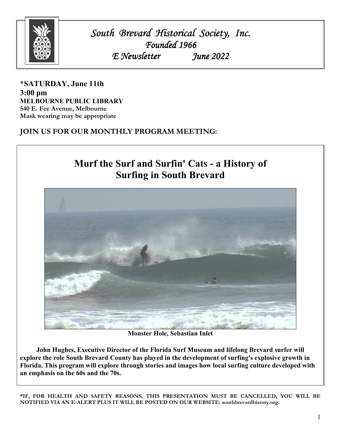

*South Brevard Historical Brevard Historical Society, Inc. Inc. Inc. Founded 1966 E Newsletter June 2022* 

**\*SATURDAY, June 11th 3:00 pm MELBOURNE PUBLIC LIBRARY 540 E. Fee Avenue, Melbourne Mask wearing may be appropriate** 

**JOIN US FOR OUR MONTHLY PROGRAM MEETING:** 



**Monster Hole, Sebastian Inlet** 

**John Hughes, Executive Director of the Florida Surf Museum and lifelong Brevard surfer will explore the role South Brevard County has played in the development of surfing's explosive growth in Florida. This program will explore through stories and images how local surfing culture developed with an emphasis on the 60s and the 70s.** 

**\*IF, FOR HEALTH AND SAFETY REASONS, THIS PRESENTATION MUST BE CANCELLED, YOU WILL BE NOTIFIED VIA AN E-ALERT PLUS IT WILL BE POSTED ON OUR WEBSITE: southbrevardhistory.org.**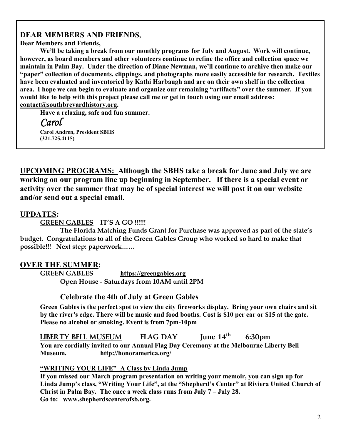# **DEAR MEMBERS AND FRIENDS,**

**Dear Members and Friends,** 

 **We'll be taking a break from our monthly programs for July and August. Work will continue, however, as board members and other volunteers continue to refine the office and collection space we maintain in Palm Bay. Under the direction of Diane Newman, we'll continue to archive then make our "paper" collection of documents, clippings, and photographs more easily accessible for research. Textiles have been evaluated and inventoried by Kathi Harbaugh and are on their own shelf in the collection area. I hope we can begin to evaluate and organize our remaining "artifacts" over the summer. If you would like to help with this project please call me or get in touch using our email address: contact@southbrevardhistory.org.** 

 **Have a relaxing, safe and fun summer.** 

 *Carol*  **Carol Andren, President SBHS (321.725.4115)** 

**UPCOMING PROGRAMS: Although the SBHS take a break for June and July we are working on our program line up beginning in September. If there is a special event or activity over the summer that may be of special interest we will post it on our website and/or send out a special email.**

# **UPDATES:**

**GREEN GABLES IT'S A GO !!!!!!** 

 **The Florida Matching Funds Grant for Purchase was approved as part of the state's budget. Congratulations to all of the Green Gables Group who worked so hard to make that possible!!! Next step: paperwork……**

# **OVER THE SUMMER:**

 **GREEN GABLES https://greengables.org Open House - Saturdays from 10AM until 2PM**

# **Celebrate the 4th of July at Green Gables**

 **Green Gables is the perfect spot to view the city fireworks display. Bring your own chairs and sit by the river's edge. There will be music and food booths. Cost is \$10 per car or \$15 at the gate. Please no alcohol or smoking. Event is from 7pm-10pm** 

 **LIBERTY BELL MUSEUM FLAG DAY June 14th 6:30pm You are cordially invited to our Annual Flag Day Ceremony at the Melbourne Liberty Bell Museum. http://honoramerica.org/** 

## **"WRITING YOUR LIFE" A Class by Linda Jump**

 **If you missed our March program presentation on writing your memoir, you can sign up for Linda Jump's class, "Writing Your Life", at the "Shepherd's Center" at Riviera United Church of Christ in Palm Bay. The once a week class runs from July 7 – July 28. Go to: www.shepherdscenterofsb.org.**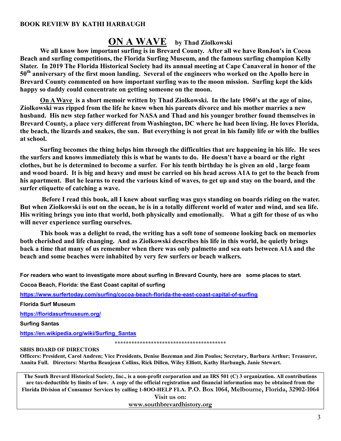### **BOOK REVIEW BY KATHI HARBAUGH**

# **ON A WAVE by Thad Ziolkowski**

**We all know how important surfing is in Brevard County. After all we have RonJon's in Cocoa Beach and surfing competitions, the Florida Surfing Museum, and the famous surfing champion Kelly Slater. In 2019 The Florida Historical Society had its annual meeting at Cape Canaveral in honor of the 50th anniversary of the first moon landing. Several of the engineers who worked on the Apollo here in Brevard County commented on how important surfing was to the moon mission. Surfing kept the kids happy so daddy could concentrate on getting someone on the moon.** 

 **On A Wave is a short memoir written by Thad Ziolkowski. In the late 1960's at the age of nine, Ziolkowski was ripped from the life he knew when his parents divorce and his mother marries a new husband. His new step father worked for NASA and Thad and his younger brother found themselves in Brevard County, a place very different from Washington, DC where he had been living. He loves Florida, the beach, the lizards and snakes, the sun. But everything is not great in his family life or with the bullies at school.** 

 **Surfing becomes the thing helps him through the difficulties that are happening in his life. He sees the surfers and knows immediately this is what he wants to do. He doesn't have a board or the right clothes, but he is determined to become a surfer. For his tenth birthday he is given an old , large foam and wood board. It is big and heavy and must be carried on his head across A1A to get to the beach from his apartment. But he learns to read the various kind of waves, to get up and stay on the board, and the surfer etiquette of catching a wave.** 

 **Before I read this book, all I knew about surfing was guys standing on boards riding on the water. But when Ziolkowski is out on the ocean, he is in a totally different world of water and wind, and sea life. His writing brings you into that world, both physically and emotionally. What a gift for those of us who will never experience surfing ourselves.** 

 **This book was a delight to read, the writing has a soft tone of someone looking back on memories both cherished and life changing. And as Ziolkowski describes his life in this world, he quietly brings back a time that many of us remember when there was only palmetto and sea oats between A1A and the beach and some beaches were inhabited by very few surfers or beach walkers.** 

**For readers who want to investigate more about surfing in Brevard County, here are some places to start.** 

**Cocoa Beach, Florida: the East Coast capital of surfing**

**https://www.surfertoday.com/surfing/cocoa-beach-florida-the-east-coast-capital-of-surfing**

**Florida Surf Museum**

**https://floridasurfmuseum.org/**

**Surfing Santas**

**https://en.wikipedia.org/wiki/Surfing\_Santas**

**\*\*\*\*\*\*\*\*\*\*\*\*\*\*\*\*\*\*\*\*\*\*\*\*\*\*\*\*\*\*\*\*\*\*\*\*\*\*\*\*** 

#### **SBHS BOARD OF DIRECTORS**

**Officers: President, Carol Andren; Vice Presidents, Denise Bozeman and Jim Poulos; Secretary, Barbara Arthur; Treasurer, Annita Full. Directors: Martha Beaujean Collins, Rick Dillen, Wiley Elliott, Kathy Harbaugh, Janie Stewart.** 

**The South Brevard Historical Society, Inc., is a non-profit corporation and an IRS 501 (C) 3 organization. All contributions are tax-deductible by limits of law. A copy of the official registration and financial information may be obtained from the Florida Division of Consumer Services by calling 1-8OO-HELP FLA. P.O. Box 1064, Melbourne, Florida, 32902-1064** 

> **Visit us on: www.southbrevardhistory.org**